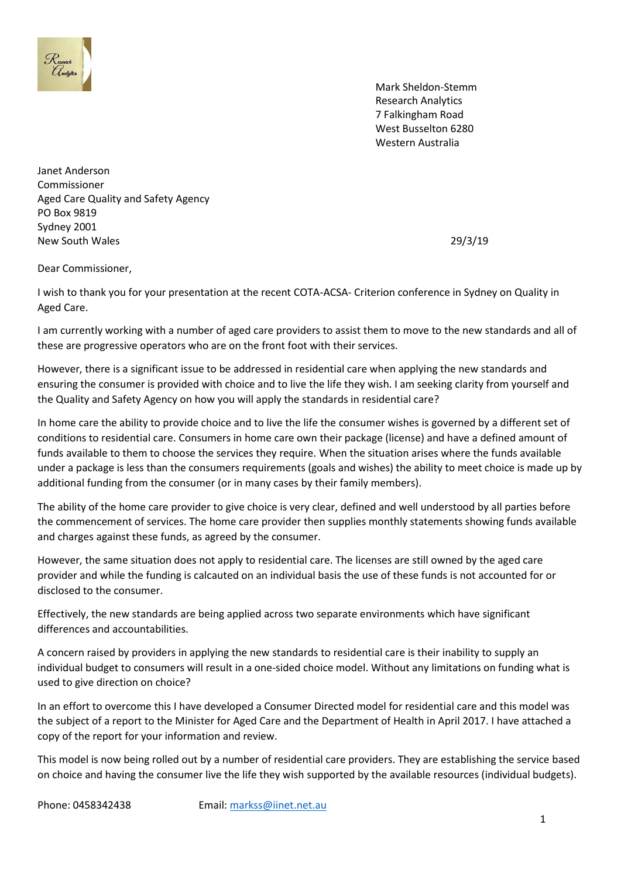

Mark Sheldon-Stemm Research Analytics 7 Falkingham Road West Busselton 6280 Western Australia

Janet Anderson Commissioner Aged Care Quality and Safety Agency PO Box 9819 Sydney 2001 New South Wales 29/3/19

Dear Commissioner,

I wish to thank you for your presentation at the recent COTA-ACSA- Criterion conference in Sydney on Quality in Aged Care.

I am currently working with a number of aged care providers to assist them to move to the new standards and all of these are progressive operators who are on the front foot with their services.

However, there is a significant issue to be addressed in residential care when applying the new standards and ensuring the consumer is provided with choice and to live the life they wish. I am seeking clarity from yourself and the Quality and Safety Agency on how you will apply the standards in residential care?

In home care the ability to provide choice and to live the life the consumer wishes is governed by a different set of conditions to residential care. Consumers in home care own their package (license) and have a defined amount of funds available to them to choose the services they require. When the situation arises where the funds available under a package is less than the consumers requirements (goals and wishes) the ability to meet choice is made up by additional funding from the consumer (or in many cases by their family members).

The ability of the home care provider to give choice is very clear, defined and well understood by all parties before the commencement of services. The home care provider then supplies monthly statements showing funds available and charges against these funds, as agreed by the consumer.

However, the same situation does not apply to residential care. The licenses are still owned by the aged care provider and while the funding is calcauted on an individual basis the use of these funds is not accounted for or disclosed to the consumer.

Effectively, the new standards are being applied across two separate environments which have significant differences and accountabilities.

A concern raised by providers in applying the new standards to residential care is their inability to supply an individual budget to consumers will result in a one-sided choice model. Without any limitations on funding what is used to give direction on choice?

In an effort to overcome this I have developed a Consumer Directed model for residential care and this model was the subject of a report to the Minister for Aged Care and the Department of Health in April 2017. I have attached a copy of the report for your information and review.

This model is now being rolled out by a number of residential care providers. They are establishing the service based on choice and having the consumer live the life they wish supported by the available resources (individual budgets).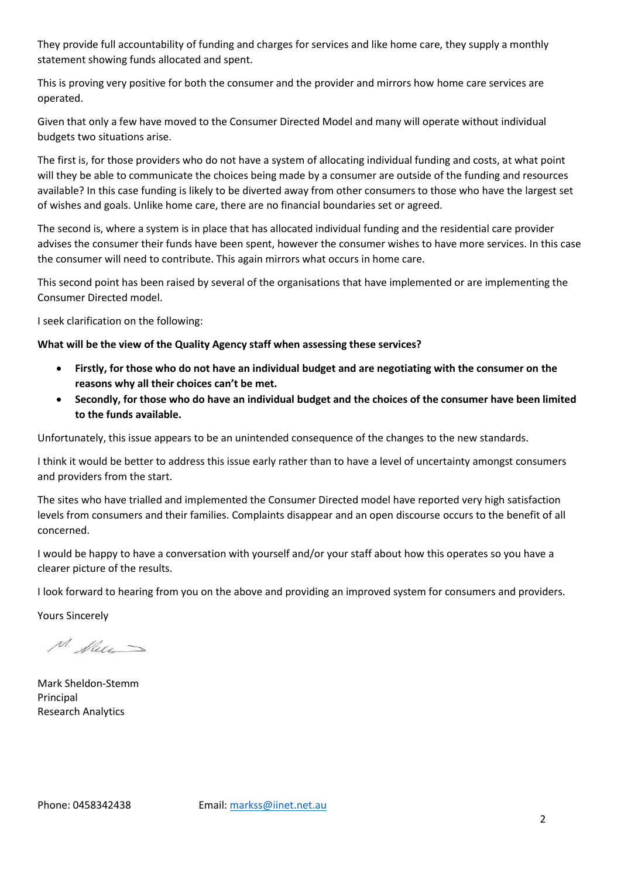They provide full accountability of funding and charges for services and like home care, they supply a monthly statement showing funds allocated and spent.

This is proving very positive for both the consumer and the provider and mirrors how home care services are operated.

Given that only a few have moved to the Consumer Directed Model and many will operate without individual budgets two situations arise.

The first is, for those providers who do not have a system of allocating individual funding and costs, at what point will they be able to communicate the choices being made by a consumer are outside of the funding and resources available? In this case funding is likely to be diverted away from other consumers to those who have the largest set of wishes and goals. Unlike home care, there are no financial boundaries set or agreed.

The second is, where a system is in place that has allocated individual funding and the residential care provider advises the consumer their funds have been spent, however the consumer wishes to have more services. In this case the consumer will need to contribute. This again mirrors what occurs in home care.

This second point has been raised by several of the organisations that have implemented or are implementing the Consumer Directed model.

I seek clarification on the following:

**What will be the view of the Quality Agency staff when assessing these services?**

- **Firstly, for those who do not have an individual budget and are negotiating with the consumer on the reasons why all their choices can't be met.**
- **Secondly, for those who do have an individual budget and the choices of the consumer have been limited to the funds available.**

Unfortunately, this issue appears to be an unintended consequence of the changes to the new standards.

I think it would be better to address this issue early rather than to have a level of uncertainty amongst consumers and providers from the start.

The sites who have trialled and implemented the Consumer Directed model have reported very high satisfaction levels from consumers and their families. Complaints disappear and an open discourse occurs to the benefit of all concerned.

I would be happy to have a conversation with yourself and/or your staff about how this operates so you have a clearer picture of the results.

I look forward to hearing from you on the above and providing an improved system for consumers and providers.

Yours Sincerely

 $M.$  Miss

Mark Sheldon-Stemm Principal Research Analytics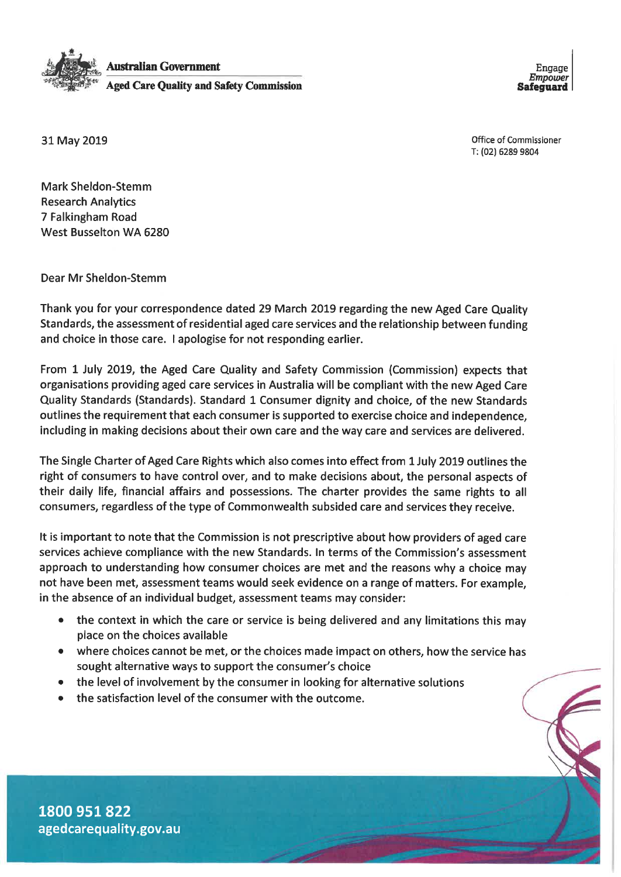

Engage Empower Safeguard

31 May 2019

Office of Commissioner T: (02) 6289 9804

**Mark Sheldon-Stemm Research Analytics** 7 Falkingham Road West Busselton WA 6280

Dear Mr Sheldon-Stemm

Thank you for your correspondence dated 29 March 2019 regarding the new Aged Care Quality Standards, the assessment of residential aged care services and the relationship between funding and choice in those care. I apologise for not responding earlier.

From 1 July 2019, the Aged Care Quality and Safety Commission (Commission) expects that organisations providing aged care services in Australia will be compliant with the new Aged Care Quality Standards (Standards). Standard 1 Consumer dignity and choice, of the new Standards outlines the requirement that each consumer is supported to exercise choice and independence. including in making decisions about their own care and the way care and services are delivered.

The Single Charter of Aged Care Rights which also comes into effect from 1 July 2019 outlines the right of consumers to have control over, and to make decisions about, the personal aspects of their daily life, financial affairs and possessions. The charter provides the same rights to all consumers, regardless of the type of Commonwealth subsided care and services they receive.

It is important to note that the Commission is not prescriptive about how providers of aged care services achieve compliance with the new Standards. In terms of the Commission's assessment approach to understanding how consumer choices are met and the reasons why a choice may not have been met, assessment teams would seek evidence on a range of matters. For example, in the absence of an individual budget, assessment teams may consider:

- the context in which the care or service is being delivered and any limitations this may place on the choices available
- where choices cannot be met, or the choices made impact on others, how the service has sought alternative ways to support the consumer's choice
- the level of involvement by the consumer in looking for alternative solutions
- the satisfaction level of the consumer with the outcome.

1800 951 822 agedcarequality.gov.au